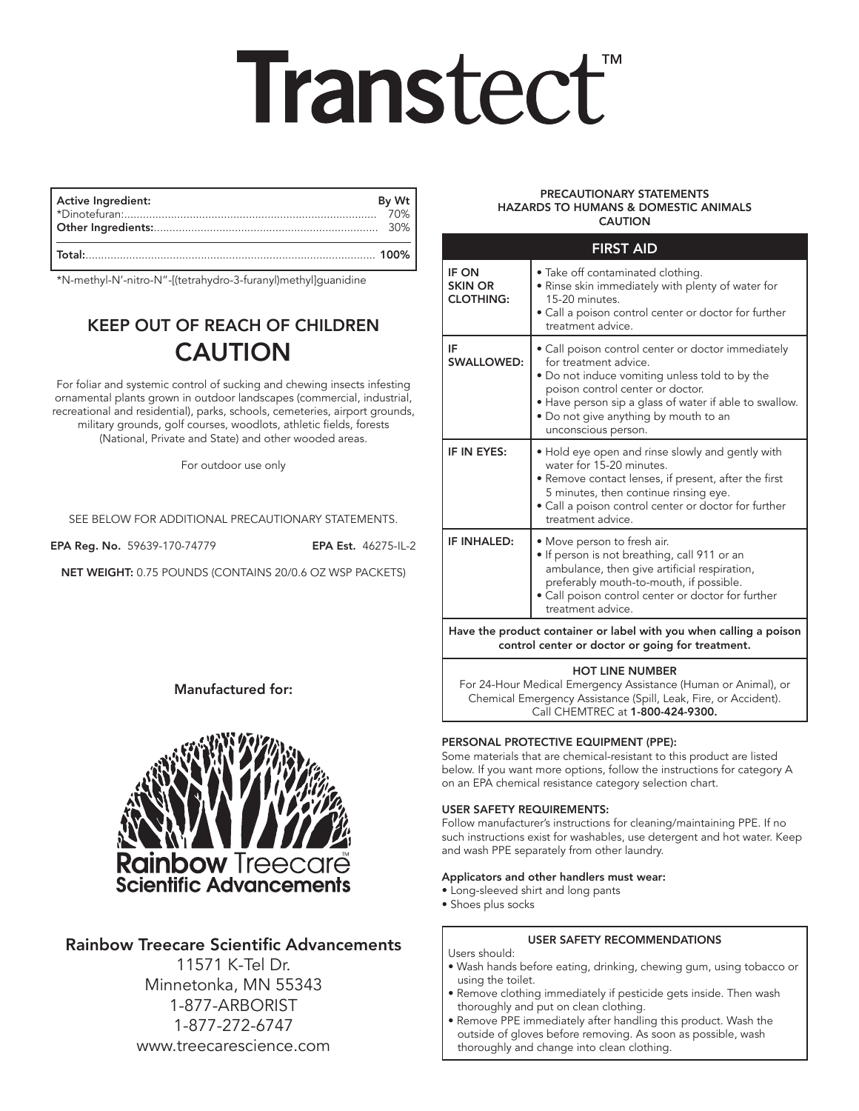# **Transtect**®

| By Wt<br><b>Active Ingredient:</b><br>30% |  |
|-------------------------------------------|--|
| Total:                                    |  |

\*N-methyl-N'-nitro-N"-[(tetrahydro-3-furanyl)methyl]guanidine

### KEEP OUT OF REACH OF CHILDREN CAUTION

For foliar and systemic control of sucking and chewing insects infesting ornamental plants grown in outdoor landscapes (commercial, industrial, recreational and residential), parks, schools, cemeteries, airport grounds, military grounds, golf courses, woodlots, athletic fields, forests (National, Private and State) and other wooded areas.

For outdoor use only

SEE BELOW FOR ADDITIONAL PRECAUTIONARY STATEMENTS.

EPA Reg. No. 59639-170-74779 EPA Est. 46275-IL-2

NET WEIGHT: 0.75 POUNDS (CONTAINS 20/0.6 OZ WSP PACKETS)

#### Manufactured for:



#### Rainbow Treecare Scientific Advancements

11571 K-Tel Dr. Minnetonka, MN 55343 1-877-ARBORIST 1-877-272-6747 www.treecarescience.com

#### PRECAUTIONARY STATEMENTS HAZARDS TO HUMANS & DOMESTIC ANIMALS CAUTION

| <b>FIRST AID</b>                                                                                                       |                                                                                                                                                                                                                                                                                             |  |
|------------------------------------------------------------------------------------------------------------------------|---------------------------------------------------------------------------------------------------------------------------------------------------------------------------------------------------------------------------------------------------------------------------------------------|--|
| IF ON<br><b>SKIN OR</b><br><b>CLOTHING:</b>                                                                            | • Take off contaminated clothing.<br>• Rinse skin immediately with plenty of water for<br>15-20 minutes.<br>· Call a poison control center or doctor for further<br>treatment advice.                                                                                                       |  |
| IF<br><b>SWALLOWED:</b>                                                                                                | • Call poison control center or doctor immediately<br>for treatment advice.<br>. Do not induce vomiting unless told to by the<br>poison control center or doctor.<br>• Have person sip a glass of water if able to swallow.<br>• Do not give anything by mouth to an<br>unconscious person. |  |
| IF IN EYES:                                                                                                            | • Hold eye open and rinse slowly and gently with<br>water for 15-20 minutes.<br>• Remove contact lenses, if present, after the first<br>5 minutes, then continue rinsing eye.<br>• Call a poison control center or doctor for further<br>treatment advice.                                  |  |
| IF INHALED:                                                                                                            | · Move person to fresh air.<br>· If person is not breathing, call 911 or an<br>ambulance, then give artificial respiration,<br>preferably mouth-to-mouth, if possible.<br>• Call poison control center or doctor for further<br>treatment advice.                                           |  |
| Have the product container or label with you when calling a poison<br>control center or doctor or going for treatment. |                                                                                                                                                                                                                                                                                             |  |

#### HOT LINE NUMBER

For 24-Hour Medical Emergency Assistance (Human or Animal), or Chemical Emergency Assistance (Spill, Leak, Fire, or Accident). Call CHEMTREC at 1-800-424-9300.

#### PERSONAL PROTECTIVE EQUIPMENT (PPE):

Some materials that are chemical-resistant to this product are listed below. If you want more options, follow the instructions for category A on an EPA chemical resistance category selection chart.

#### USER SAFETY REQUIREMENTS:

Follow manufacturer's instructions for cleaning/maintaining PPE. If no such instructions exist for washables, use detergent and hot water. Keep and wash PPE separately from other laundry.

#### Applicators and other handlers must wear:

• Long-sleeved shirt and long pants

• Shoes plus socks

#### USER SAFETY RECOMMENDATIONS

#### Users should:

- Wash hands before eating, drinking, chewing gum, using tobacco or using the toilet.
- Remove clothing immediately if pesticide gets inside. Then wash thoroughly and put on clean clothing.
- Remove PPE immediately after handling this product. Wash the outside of gloves before removing. As soon as possible, wash thoroughly and change into clean clothing.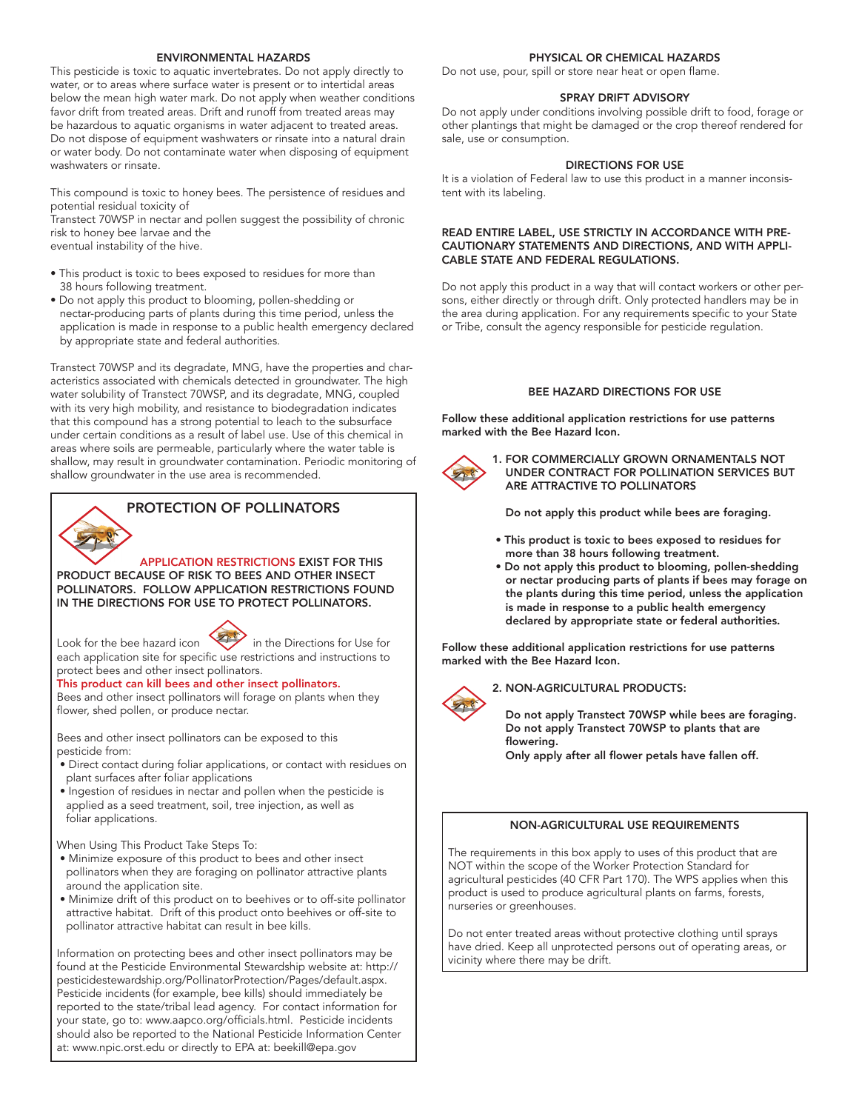#### ENVIRONMENTAL HAZARDS

This pesticide is toxic to aquatic invertebrates. Do not apply directly to water, or to areas where surface water is present or to intertidal areas below the mean high water mark. Do not apply when weather conditions favor drift from treated areas. Drift and runoff from treated areas may be hazardous to aquatic organisms in water adjacent to treated areas. Do not dispose of equipment washwaters or rinsate into a natural drain or water body. Do not contaminate water when disposing of equipment washwaters or rinsate.

This compound is toxic to honey bees. The persistence of residues and potential residual toxicity of

Transtect 70WSP in nectar and pollen suggest the possibility of chronic risk to honey bee larvae and the

eventual instability of the hive.

- This product is toxic to bees exposed to residues for more than 38 hours following treatment.
- Do not apply this product to blooming, pollen-shedding or nectar-producing parts of plants during this time period, unless the application is made in response to a public health emergency declared by appropriate state and federal authorities.

Transtect 70WSP and its degradate, MNG, have the properties and characteristics associated with chemicals detected in groundwater. The high water solubility of Transtect 70WSP, and its degradate, MNG, coupled with its very high mobility, and resistance to biodegradation indicates that this compound has a strong potential to leach to the subsurface under certain conditions as a result of label use. Use of this chemical in areas where soils are permeable, particularly where the water table is shallow, may result in groundwater contamination. Periodic monitoring of shallow groundwater in the use area is recommended.

## PROTECTION OF POLLINATORS

 APPLICATION RESTRICTIONS EXIST FOR THIS PRODUCT BECAUSE OF RISK TO BEES AND OTHER INSECT POLLINATORS. FOLLOW APPLICATION RESTRICTIONS FOUND IN THE DIRECTIONS FOR USE TO PROTECT POLLINATORS.



Look for the bee hazard icon  $\left\langle \right\rangle$  in the Directions for Use for each application site for specific use restrictions and instructions to protect bees and other insect pollinators.

#### This product can kill bees and other insect pollinators.

Bees and other insect pollinators will forage on plants when they flower, shed pollen, or produce nectar.

Bees and other insect pollinators can be exposed to this pesticide from:

- Direct contact during foliar applications, or contact with residues on plant surfaces after foliar applications
- Ingestion of residues in nectar and pollen when the pesticide is applied as a seed treatment, soil, tree injection, as well as foliar applications.

When Using This Product Take Steps To:

- Minimize exposure of this product to bees and other insect pollinators when they are foraging on pollinator attractive plants around the application site.
- Minimize drift of this product on to beehives or to off-site pollinator attractive habitat. Drift of this product onto beehives or off-site to pollinator attractive habitat can result in bee kills.

Information on protecting bees and other insect pollinators may be found at the Pesticide Environmental Stewardship website at: http:// pesticidestewardship.org/PollinatorProtection/Pages/default.aspx. Pesticide incidents (for example, bee kills) should immediately be reported to the state/tribal lead agency. For contact information for your state, go to: www.aapco.org/officials.html. Pesticide incidents should also be reported to the National Pesticide Information Center at: www.npic.orst.edu or directly to EPA at: beekill@epa.gov

#### PHYSICAL OR CHEMICAL HAZARDS

Do not use, pour, spill or store near heat or open flame.

#### SPRAY DRIFT ADVISORY

Do not apply under conditions involving possible drift to food, forage or other plantings that might be damaged or the crop thereof rendered for sale, use or consumption.

#### DIRECTIONS FOR USE

It is a violation of Federal law to use this product in a manner inconsistent with its labeling.

#### READ ENTIRE LABEL, USE STRICTLY IN ACCORDANCE WITH PRE-CAUTIONARY STATEMENTS AND DIRECTIONS, AND WITH APPLI-CABLE STATE AND FEDERAL REGULATIONS.

Do not apply this product in a way that will contact workers or other persons, either directly or through drift. Only protected handlers may be in the area during application. For any requirements specific to your State or Tribe, consult the agency responsible for pesticide regulation.

#### BEE HAZARD DIRECTIONS FOR USE

Follow these additional application restrictions for use patterns marked with the Bee Hazard Icon.



1. FOR COMMERCIALLY GROWN ORNAMENTALS NOT UNDER CONTRACT FOR POLLINATION SERVICES BUT ARE ATTRACTIVE TO POLLINATORS

Do not apply this product while bees are foraging.

- This product is toxic to bees exposed to residues for more than 38 hours following treatment.
- Do not apply this product to blooming, pollen-shedding or nectar producing parts of plants if bees may forage on the plants during this time period, unless the application is made in response to a public health emergency declared by appropriate state or federal authorities.

Follow these additional application restrictions for use patterns marked with the Bee Hazard Icon.

2. NON-AGRICULTURAL PRODUCTS:

 Do not apply Transtect 70WSP while bees are foraging. Do not apply Transtect 70WSP to plants that are flowering.

Only apply after all flower petals have fallen off.

#### NON-AGRICULTURAL USE REQUIREMENTS

The requirements in this box apply to uses of this product that are NOT within the scope of the Worker Protection Standard for agricultural pesticides (40 CFR Part 170). The WPS applies when this product is used to produce agricultural plants on farms, forests, nurseries or greenhouses.

Do not enter treated areas without protective clothing until sprays have dried. Keep all unprotected persons out of operating areas, or vicinity where there may be drift.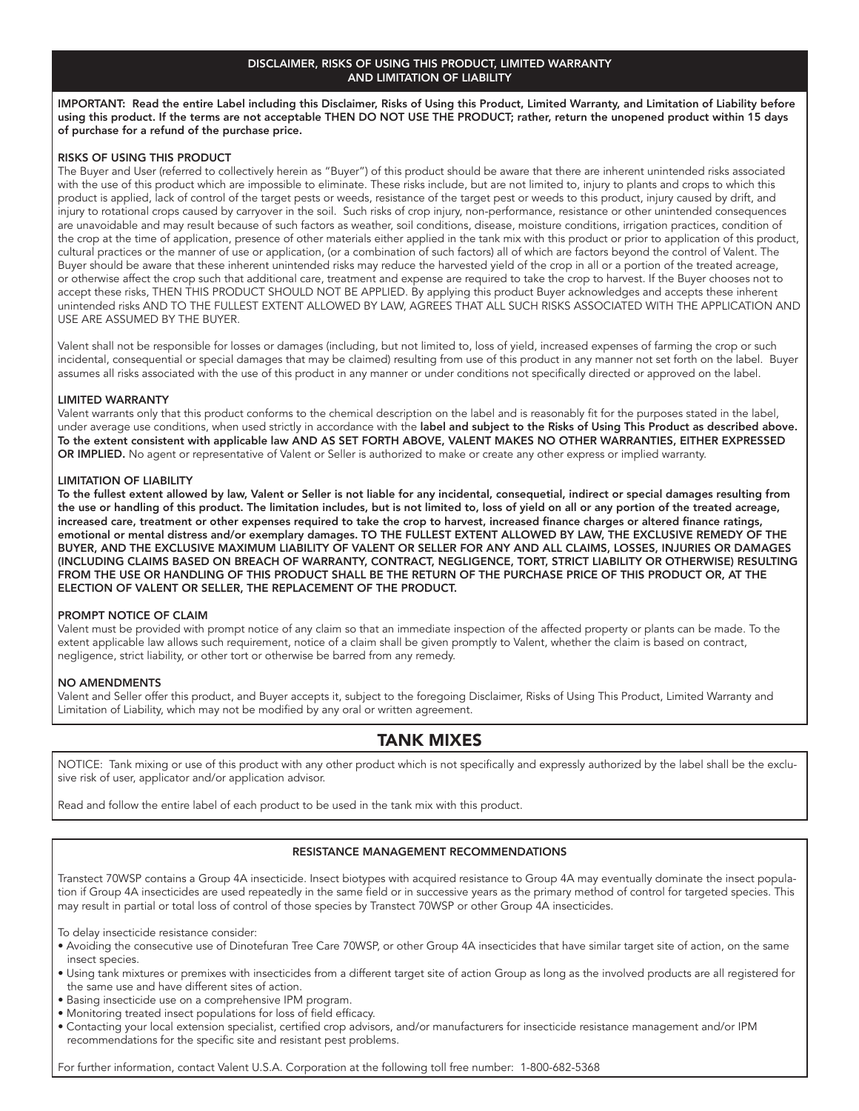#### DISCLAIMER, RISKS OF USING THIS PRODUCT, LIMITED WARRANTY AND LIMITATION OF LIABILITY

IMPORTANT: Read the entire Label including this Disclaimer, Risks of Using this Product, Limited Warranty, and Limitation of Liability before using this product. If the terms are not acceptable THEN DO NOT USE THE PRODUCT; rather, return the unopened product within 15 days of purchase for a refund of the purchase price.

#### RISKS OF USING THIS PRODUCT

The Buyer and User (referred to collectively herein as "Buyer") of this product should be aware that there are inherent unintended risks associated with the use of this product which are impossible to eliminate. These risks include, but are not limited to, injury to plants and crops to which this product is applied, lack of control of the target pests or weeds, resistance of the target pest or weeds to this product, injury caused by drift, and injury to rotational crops caused by carryover in the soil. Such risks of crop injury, non-performance, resistance or other unintended consequences are unavoidable and may result because of such factors as weather, soil conditions, disease, moisture conditions, irrigation practices, condition of the crop at the time of application, presence of other materials either applied in the tank mix with this product or prior to application of this product, cultural practices or the manner of use or application, (or a combination of such factors) all of which are factors beyond the control of Valent. The Buyer should be aware that these inherent unintended risks may reduce the harvested yield of the crop in all or a portion of the treated acreage, or otherwise affect the crop such that additional care, treatment and expense are required to take the crop to harvest. If the Buyer chooses not to accept these risks, THEN THIS PRODUCT SHOULD NOT BE APPLIED. By applying this product Buyer acknowledges and accepts these inherent unintended risks AND TO THE FULLEST EXTENT ALLOWED BY LAW, AGREES THAT ALL SUCH RISKS ASSOCIATED WITH THE APPLICATION AND USE ARE ASSUMED BY THE BUYER.

Valent shall not be responsible for losses or damages (including, but not limited to, loss of yield, increased expenses of farming the crop or such incidental, consequential or special damages that may be claimed) resulting from use of this product in any manner not set forth on the label. Buyer assumes all risks associated with the use of this product in any manner or under conditions not specifically directed or approved on the label.

#### LIMITED WARRANTY

Valent warrants only that this product conforms to the chemical description on the label and is reasonably fit for the purposes stated in the label, under average use conditions, when used strictly in accordance with the label and subject to the Risks of Using This Product as described above. To the extent consistent with applicable law AND AS SET FORTH ABOVE, VALENT MAKES NO OTHER WARRANTIES, EITHER EXPRESSED OR IMPLIED. No agent or representative of Valent or Seller is authorized to make or create any other express or implied warranty.

#### LIMITATION OF LIABILITY

To the fullest extent allowed by law, Valent or Seller is not liable for any incidental, consequetial, indirect or special damages resulting from the use or handling of this product. The limitation includes, but is not limited to, loss of yield on all or any portion of the treated acreage, increased care, treatment or other expenses required to take the crop to harvest, increased finance charges or altered finance ratings, emotional or mental distress and/or exemplary damages. TO THE FULLEST EXTENT ALLOWED BY LAW, THE EXCLUSIVE REMEDY OF THE BUYER, AND THE EXCLUSIVE MAXIMUM LIABILITY OF VALENT OR SELLER FOR ANY AND ALL CLAIMS, LOSSES, INJURIES OR DAMAGES (INCLUDING CLAIMS BASED ON BREACH OF WARRANTY, CONTRACT, NEGLIGENCE, TORT, STRICT LIABILITY OR OTHERWISE) RESULTING FROM THE USE OR HANDLING OF THIS PRODUCT SHALL BE THE RETURN OF THE PURCHASE PRICE OF THIS PRODUCT OR, AT THE ELECTION OF VALENT OR SELLER, THE REPLACEMENT OF THE PRODUCT.

#### PROMPT NOTICE OF CLAIM

Valent must be provided with prompt notice of any claim so that an immediate inspection of the affected property or plants can be made. To the extent applicable law allows such requirement, notice of a claim shall be given promptly to Valent, whether the claim is based on contract, negligence, strict liability, or other tort or otherwise be barred from any remedy.

#### NO AMENDMENTS

Valent and Seller offer this product, and Buyer accepts it, subject to the foregoing Disclaimer, Risks of Using This Product, Limited Warranty and Limitation of Liability, which may not be modified by any oral or written agreement.

#### TANK MIXES

NOTICE: Tank mixing or use of this product with any other product which is not specifically and expressly authorized by the label shall be the exclusive risk of user, applicator and/or application advisor.

Read and follow the entire label of each product to be used in the tank mix with this product.

#### RESISTANCE MANAGEMENT RECOMMENDATIONS

Transtect 70WSP contains a Group 4A insecticide. Insect biotypes with acquired resistance to Group 4A may eventually dominate the insect population if Group 4A insecticides are used repeatedly in the same field or in successive years as the primary method of control for targeted species. This may result in partial or total loss of control of those species by Transtect 70WSP or other Group 4A insecticides.

To delay insecticide resistance consider:

- Avoiding the consecutive use of Dinotefuran Tree Care 70WSP, or other Group 4A insecticides that have similar target site of action, on the same insect species.
- Using tank mixtures or premixes with insecticides from a different target site of action Group as long as the involved products are all registered for the same use and have different sites of action.
- Basing insecticide use on a comprehensive IPM program.
- Monitoring treated insect populations for loss of field efficacy.
- Contacting your local extension specialist, certified crop advisors, and/or manufacturers for insecticide resistance management and/or IPM recommendations for the specific site and resistant pest problems.

For further information, contact Valent U.S.A. Corporation at the following toll free number: 1-800-682-5368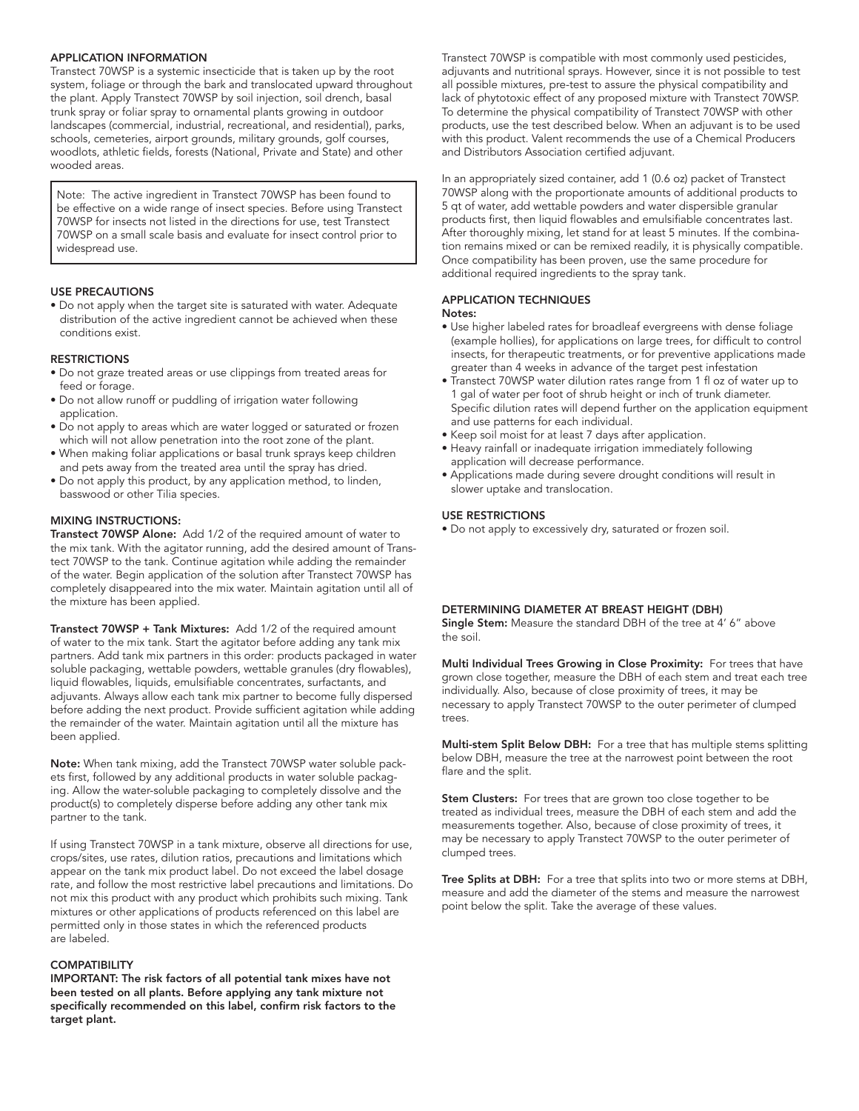#### APPLICATION INFORMATION

Transtect 70WSP is a systemic insecticide that is taken up by the root system, foliage or through the bark and translocated upward throughout the plant. Apply Transtect 70WSP by soil injection, soil drench, basal trunk spray or foliar spray to ornamental plants growing in outdoor landscapes (commercial, industrial, recreational, and residential), parks, schools, cemeteries, airport grounds, military grounds, golf courses, woodlots, athletic fields, forests (National, Private and State) and other wooded areas.

Note: The active ingredient in Transtect 70WSP has been found to be effective on a wide range of insect species. Before using Transtect 70WSP for insects not listed in the directions for use, test Transtect 70WSP on a small scale basis and evaluate for insect control prior to widespread use.

#### USE PRECAUTIONS

• Do not apply when the target site is saturated with water. Adequate distribution of the active ingredient cannot be achieved when these conditions exist.

#### **RESTRICTIONS**

- Do not graze treated areas or use clippings from treated areas for feed or forage.
- Do not allow runoff or puddling of irrigation water following application.
- Do not apply to areas which are water logged or saturated or frozen which will not allow penetration into the root zone of the plant.
- When making foliar applications or basal trunk sprays keep children and pets away from the treated area until the spray has dried.
- Do not apply this product, by any application method, to linden, basswood or other Tilia species.

#### MIXING INSTRUCTIONS:

Transtect 70WSP Alone: Add 1/2 of the required amount of water to the mix tank. With the agitator running, add the desired amount of Transtect 70WSP to the tank. Continue agitation while adding the remainder of the water. Begin application of the solution after Transtect 70WSP has completely disappeared into the mix water. Maintain agitation until all of the mixture has been applied.

Transtect 70WSP + Tank Mixtures: Add 1/2 of the required amount of water to the mix tank. Start the agitator before adding any tank mix partners. Add tank mix partners in this order: products packaged in water soluble packaging, wettable powders, wettable granules (dry flowables), liquid flowables, liquids, emulsifiable concentrates, surfactants, and adjuvants. Always allow each tank mix partner to become fully dispersed before adding the next product. Provide sufficient agitation while adding the remainder of the water. Maintain agitation until all the mixture has been applied.

Note: When tank mixing, add the Transtect 70WSP water soluble packets first, followed by any additional products in water soluble packaging. Allow the water-soluble packaging to completely dissolve and the product(s) to completely disperse before adding any other tank mix partner to the tank.

If using Transtect 70WSP in a tank mixture, observe all directions for use, crops/sites, use rates, dilution ratios, precautions and limitations which appear on the tank mix product label. Do not exceed the label dosage rate, and follow the most restrictive label precautions and limitations. Do not mix this product with any product which prohibits such mixing. Tank mixtures or other applications of products referenced on this label are permitted only in those states in which the referenced products are labeled.

#### **COMPATIBILITY**

IMPORTANT: The risk factors of all potential tank mixes have not been tested on all plants. Before applying any tank mixture not specifically recommended on this label, confirm risk factors to the target plant.

Transtect 70WSP is compatible with most commonly used pesticides, adjuvants and nutritional sprays. However, since it is not possible to test all possible mixtures, pre-test to assure the physical compatibility and lack of phytotoxic effect of any proposed mixture with Transtect 70WSP. To determine the physical compatibility of Transtect 70WSP with other products, use the test described below. When an adjuvant is to be used with this product. Valent recommends the use of a Chemical Producers and Distributors Association certified adjuvant.

In an appropriately sized container, add 1 (0.6 oz) packet of Transtect 70WSP along with the proportionate amounts of additional products to 5 qt of water, add wettable powders and water dispersible granular products first, then liquid flowables and emulsifiable concentrates last. After thoroughly mixing, let stand for at least 5 minutes. If the combination remains mixed or can be remixed readily, it is physically compatible. Once compatibility has been proven, use the same procedure for additional required ingredients to the spray tank.

#### APPLICATION TECHNIQUES Notes:

- Use higher labeled rates for broadleaf evergreens with dense foliage (example hollies), for applications on large trees, for difficult to control insects, for therapeutic treatments, or for preventive applications made greater than 4 weeks in advance of the target pest infestation
- Transtect 70WSP water dilution rates range from 1 fl oz of water up to 1 gal of water per foot of shrub height or inch of trunk diameter. Specific dilution rates will depend further on the application equipment and use patterns for each individual.
- Keep soil moist for at least 7 days after application.
- Heavy rainfall or inadequate irrigation immediately following application will decrease performance.
- Applications made during severe drought conditions will result in slower uptake and translocation.

#### USE RESTRICTIONS

• Do not apply to excessively dry, saturated or frozen soil.

#### DETERMINING DIAMETER AT BREAST HEIGHT (DBH)

Single Stem: Measure the standard DBH of the tree at 4' 6" above the soil.

Multi Individual Trees Growing in Close Proximity: For trees that have grown close together, measure the DBH of each stem and treat each tree individually. Also, because of close proximity of trees, it may be necessary to apply Transtect 70WSP to the outer perimeter of clumped trees.

Multi-stem Split Below DBH: For a tree that has multiple stems splitting below DBH, measure the tree at the narrowest point between the root flare and the split.

**Stem Clusters:** For trees that are grown too close together to be treated as individual trees, measure the DBH of each stem and add the measurements together. Also, because of close proximity of trees, it may be necessary to apply Transtect 70WSP to the outer perimeter of clumped trees.

Tree Splits at DBH: For a tree that splits into two or more stems at DBH, measure and add the diameter of the stems and measure the narrowest point below the split. Take the average of these values.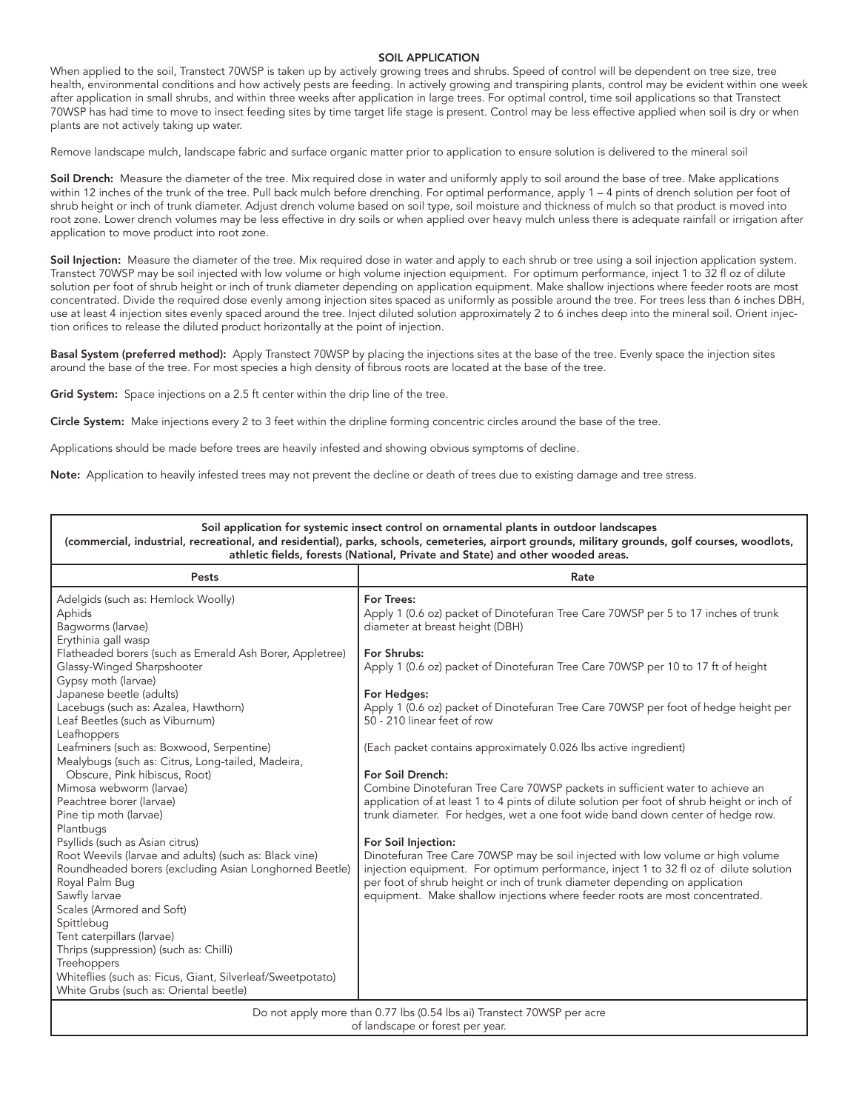#### SOIL APPLICATION

When applied to the soil, Transtect 70WSP is taken up by actively growing trees and shrubs. Speed of control will be dependent on tree size, tree health, environmental conditions and how actively pests are feeding. In actively growing and transpiring plants, control may be evident within one week after application in small shrubs, and within three weeks after application in large trees. For optimal control, time soil applications so that Transtect 70WSP has had time to move to insect feeding sites by time target life stage is present. Control may be less effective applied when soil is dry or when plants are not actively taking up water.

Remove landscape mulch, landscape fabric and surface organic matter prior to application to ensure solution is delivered to the mineral soil

Soil Drench: Measure the diameter of the tree. Mix required dose in water and uniformly apply to soil around the base of tree. Make applications within 12 inches of the trunk of the tree. Pull back mulch before drenching. For optimal performance, apply 1 – 4 pints of drench solution per foot of shrub height or inch of trunk diameter. Adjust drench volume based on soil type, soil moisture and thickness of mulch so that product is moved into root zone. Lower drench volumes may be less effective in dry soils or when applied over heavy mulch unless there is adequate rainfall or irrigation after application to move product into root zone.

Soil Injection: Measure the diameter of the tree. Mix required dose in water and apply to each shrub or tree using a soil injection application system. Transtect 70WSP may be soil injected with low volume or high volume injection equipment. For optimum performance, inject 1 to 32 fl oz of dilute solution per foot of shrub height or inch of trunk diameter depending on application equipment. Make shallow injections where feeder roots are most concentrated. Divide the required dose evenly among injection sites spaced as uniformly as possible around the tree. For trees less than 6 inches DBH, use at least 4 injection sites evenly spaced around the tree. Inject diluted solution approximately 2 to 6 inches deep into the mineral soil. Orient injection orifices to release the diluted product horizontally at the point of injection.

Basal System (preferred method): Apply Transtect 70WSP by placing the injections sites at the base of the tree. Evenly space the injection sites around the base of the tree. For most species a high density of fibrous roots are located at the base of the tree.

Grid System: Space injections on a 2.5 ft center within the drip line of the tree.

Circle System: Make injections every 2 to 3 feet within the dripline forming concentric circles around the base of the tree.

Applications should be made before trees are heavily infested and showing obvious symptoms of decline.

Note: Application to heavily infested trees may not prevent the decline or death of trees due to existing damage and tree stress.

| Soil application for systemic insect control on ornamental plants in outdoor landscapes<br>(commercial, industrial, recreational, and residential), parks, schools, cemeteries, airport grounds, military grounds, golf courses, woodlots,<br>athletic fields, forests (National, Private and State) and other wooded areas.                                                                                                                                                                                                                                                                                                                                                                                                                                                                                                                                                                                                                                                                         |                                                                                                                                                                                                                                                                                                                                                                                                                                                                                                                                                                                                                                                                                                                                                                                                                                                                                                                                                                                                                                                                                                         |  |  |
|------------------------------------------------------------------------------------------------------------------------------------------------------------------------------------------------------------------------------------------------------------------------------------------------------------------------------------------------------------------------------------------------------------------------------------------------------------------------------------------------------------------------------------------------------------------------------------------------------------------------------------------------------------------------------------------------------------------------------------------------------------------------------------------------------------------------------------------------------------------------------------------------------------------------------------------------------------------------------------------------------|---------------------------------------------------------------------------------------------------------------------------------------------------------------------------------------------------------------------------------------------------------------------------------------------------------------------------------------------------------------------------------------------------------------------------------------------------------------------------------------------------------------------------------------------------------------------------------------------------------------------------------------------------------------------------------------------------------------------------------------------------------------------------------------------------------------------------------------------------------------------------------------------------------------------------------------------------------------------------------------------------------------------------------------------------------------------------------------------------------|--|--|
| Pests                                                                                                                                                                                                                                                                                                                                                                                                                                                                                                                                                                                                                                                                                                                                                                                                                                                                                                                                                                                                | Rate                                                                                                                                                                                                                                                                                                                                                                                                                                                                                                                                                                                                                                                                                                                                                                                                                                                                                                                                                                                                                                                                                                    |  |  |
| Adelgids (such as: Hemlock Woolly)<br>Aphids<br>Bagworms (larvae)<br>Erythinia gall wasp<br>Flatheaded borers (such as Emerald Ash Borer, Appletree)<br>Glassy-Winged Sharpshooter<br>Gypsy moth (larvae)<br>Japanese beetle (adults)<br>Lacebugs (such as: Azalea, Hawthorn)<br>Leaf Beetles (such as Viburnum)<br>Leafhoppers<br>Leafminers (such as: Boxwood, Serpentine)<br>Mealybugs (such as: Citrus, Long-tailed, Madeira,<br>Obscure, Pink hibiscus, Root)<br>Mimosa webworm (larvae)<br>Peachtree borer (larvae)<br>Pine tip moth (larvae)<br>Plantbugs<br>Psyllids (such as Asian citrus)<br>Root Weevils (larvae and adults) (such as: Black vine)<br>Roundheaded borers (excluding Asian Longhorned Beetle)<br>Royal Palm Bug<br>Sawfly larvae<br>Scales (Armored and Soft)<br>Spittlebug<br>Tent caterpillars (larvae)<br>Thrips (suppression) (such as: Chilli)<br>Treehoppers<br>Whiteflies (such as: Ficus, Giant, Silverleaf/Sweetpotato)<br>White Grubs (such as: Oriental beetle) | For Trees:<br>Apply 1 (0.6 oz) packet of Dinotefuran Tree Care 70WSP per 5 to 17 inches of trunk<br>diameter at breast height (DBH)<br>For Shrubs:<br>Apply 1 (0.6 oz) packet of Dinotefuran Tree Care 70WSP per 10 to 17 ft of height<br>For Hedges:<br>Apply 1 (0.6 oz) packet of Dinotefuran Tree Care 70WSP per foot of hedge height per<br>50 - 210 linear feet of row<br>(Each packet contains approximately 0.026 lbs active ingredient)<br>For Soil Drench:<br>Combine Dinotefuran Tree Care 70WSP packets in sufficient water to achieve an<br>application of at least 1 to 4 pints of dilute solution per foot of shrub height or inch of<br>trunk diameter. For hedges, wet a one foot wide band down center of hedge row.<br>For Soil Injection:<br>Dinotefuran Tree Care 70WSP may be soil injected with low volume or high volume<br>injection equipment. For optimum performance, inject 1 to 32 fl oz of dilute solution<br>per foot of shrub height or inch of trunk diameter depending on application<br>equipment. Make shallow injections where feeder roots are most concentrated. |  |  |
| Do not apply more than 0.77 lbs (0.54 lbs ai) Transtect 70WSP per acre<br>of landscape or forest per year.                                                                                                                                                                                                                                                                                                                                                                                                                                                                                                                                                                                                                                                                                                                                                                                                                                                                                           |                                                                                                                                                                                                                                                                                                                                                                                                                                                                                                                                                                                                                                                                                                                                                                                                                                                                                                                                                                                                                                                                                                         |  |  |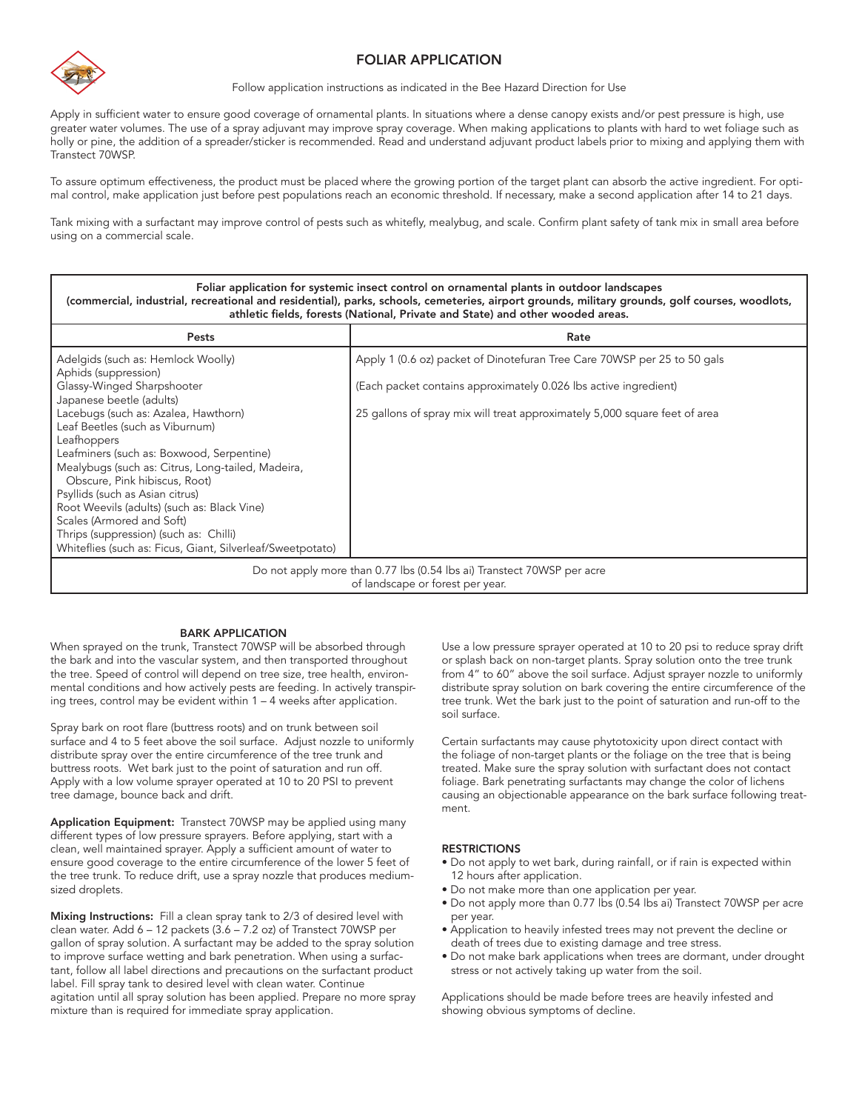

#### FOLIAR APPLICATION

Follow application instructions as indicated in the Bee Hazard Direction for Use

Apply in sufficient water to ensure good coverage of ornamental plants. In situations where a dense canopy exists and/or pest pressure is high, use greater water volumes. The use of a spray adjuvant may improve spray coverage. When making applications to plants with hard to wet foliage such as holly or pine, the addition of a spreader/sticker is recommended. Read and understand adjuvant product labels prior to mixing and applying them with Transtect 70WSP.

To assure optimum effectiveness, the product must be placed where the growing portion of the target plant can absorb the active ingredient. For optimal control, make application just before pest populations reach an economic threshold. If necessary, make a second application after 14 to 21 days.

Tank mixing with a surfactant may improve control of pests such as whitefly, mealybug, and scale. Confirm plant safety of tank mix in small area before using on a commercial scale.

| Foliar application for systemic insect control on ornamental plants in outdoor landscapes<br>(commercial, industrial, recreational and residential), parks, schools, cemeteries, airport grounds, military grounds, golf courses, woodlots,<br>athletic fields, forests (National, Private and State) and other wooded areas. |                                                                            |  |  |
|-------------------------------------------------------------------------------------------------------------------------------------------------------------------------------------------------------------------------------------------------------------------------------------------------------------------------------|----------------------------------------------------------------------------|--|--|
| Pests                                                                                                                                                                                                                                                                                                                         | Rate                                                                       |  |  |
| Adelgids (such as: Hemlock Woolly)<br>Aphids (suppression)                                                                                                                                                                                                                                                                    | Apply 1 (0.6 oz) packet of Dinotefuran Tree Care 70WSP per 25 to 50 gals   |  |  |
| Glassy-Winged Sharpshooter<br>Japanese beetle (adults)                                                                                                                                                                                                                                                                        | (Each packet contains approximately 0.026 lbs active ingredient)           |  |  |
| Lacebugs (such as: Azalea, Hawthorn)<br>Leaf Beetles (such as Viburnum)                                                                                                                                                                                                                                                       | 25 gallons of spray mix will treat approximately 5,000 square feet of area |  |  |
| Leafhoppers<br>Leafminers (such as: Boxwood, Serpentine)<br>Mealybugs (such as: Citrus, Long-tailed, Madeira,                                                                                                                                                                                                                 |                                                                            |  |  |
| Obscure, Pink hibiscus, Root)<br>Psyllids (such as Asian citrus)                                                                                                                                                                                                                                                              |                                                                            |  |  |
| Root Weevils (adults) (such as: Black Vine)<br>Scales (Armored and Soft)                                                                                                                                                                                                                                                      |                                                                            |  |  |
| Thrips (suppression) (such as: Chilli)<br>Whiteflies (such as: Ficus, Giant, Silverleaf/Sweetpotato)                                                                                                                                                                                                                          |                                                                            |  |  |
| Do not apply more than 0.77 lbs (0.54 lbs ai) Transtect 70WSP per acre<br>of landscape or forest per year.                                                                                                                                                                                                                    |                                                                            |  |  |

#### BARK APPLICATION

When sprayed on the trunk, Transtect 70WSP will be absorbed through the bark and into the vascular system, and then transported throughout the tree. Speed of control will depend on tree size, tree health, environmental conditions and how actively pests are feeding. In actively transpiring trees, control may be evident within 1 – 4 weeks after application.

Spray bark on root flare (buttress roots) and on trunk between soil surface and 4 to 5 feet above the soil surface. Adjust nozzle to uniformly distribute spray over the entire circumference of the tree trunk and buttress roots. Wet bark just to the point of saturation and run off. Apply with a low volume sprayer operated at 10 to 20 PSI to prevent tree damage, bounce back and drift.

Application Equipment: Transtect 70WSP may be applied using many different types of low pressure sprayers. Before applying, start with a clean, well maintained sprayer. Apply a sufficient amount of water to ensure good coverage to the entire circumference of the lower 5 feet of the tree trunk. To reduce drift, use a spray nozzle that produces mediumsized droplets.

Mixing Instructions: Fill a clean spray tank to 2/3 of desired level with clean water. Add 6 – 12 packets (3.6 – 7.2 oz) of Transtect 70WSP per gallon of spray solution. A surfactant may be added to the spray solution to improve surface wetting and bark penetration. When using a surfactant, follow all label directions and precautions on the surfactant product label. Fill spray tank to desired level with clean water. Continue agitation until all spray solution has been applied. Prepare no more spray mixture than is required for immediate spray application.

Use a low pressure sprayer operated at 10 to 20 psi to reduce spray drift or splash back on non-target plants. Spray solution onto the tree trunk from 4" to 60" above the soil surface. Adjust sprayer nozzle to uniformly distribute spray solution on bark covering the entire circumference of the tree trunk. Wet the bark just to the point of saturation and run-off to the soil surface.

Certain surfactants may cause phytotoxicity upon direct contact with the foliage of non-target plants or the foliage on the tree that is being treated. Make sure the spray solution with surfactant does not contact foliage. Bark penetrating surfactants may change the color of lichens causing an objectionable appearance on the bark surface following treatment.

#### **RESTRICTIONS**

- Do not apply to wet bark, during rainfall, or if rain is expected within 12 hours after application.
- Do not make more than one application per year.
- Do not apply more than 0.77 lbs (0.54 lbs ai) Transtect 70WSP per acre per year.
- Application to heavily infested trees may not prevent the decline or death of trees due to existing damage and tree stress.
- Do not make bark applications when trees are dormant, under drought stress or not actively taking up water from the soil.

Applications should be made before trees are heavily infested and showing obvious symptoms of decline.